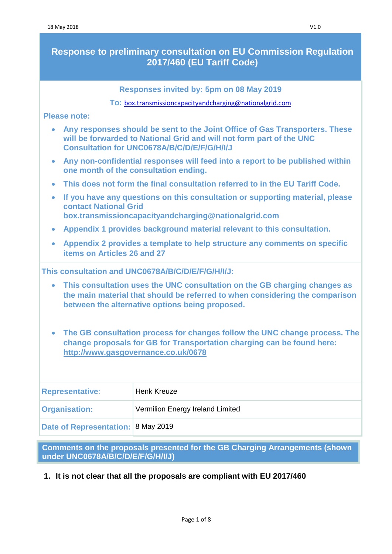# **Response to preliminary consultation on EU Commission Regulation 2017/460 (EU Tariff Code)**

**Responses invited by: 5pm on 08 May 2019**

**To:** [box.transmissioncapacityandcharging@nationalgrid.com](mailto:box.transmissioncapacityandcharging@nationalgrid.com)

**Please note:** 

| • Any responses should be sent to the Joint Office of Gas Transporters. These |
|-------------------------------------------------------------------------------|
| will be forwarded to National Grid and will not form part of the UNC          |
| <b>Consultation for UNC0678A/B/C/D/E/F/G/H/I/J</b>                            |

- **Any non-confidential responses will feed into a report to be published within one month of the consultation ending.**
- **This does not form the final consultation referred to in the EU Tariff Code.**
- **If you have any questions on this consultation or supporting material, please contact National Grid [box.transmissioncapacityandcharging@nationalgrid.com](mailto:box.transmissioncapacityandcharging@nationalgrid.com)**
- **Appendix 1 provides background material relevant to this consultation.**
- **Appendix 2 provides a template to help structure any comments on specific items on Articles 26 and 27**

**This consultation and UNC0678A/B/C/D/E/F/G/H/I/J:** 

- **This consultation uses the UNC consultation on the GB charging changes as the main material that should be referred to when considering the comparison between the alternative options being proposed.**
- **The GB consultation process for changes follow the UNC change process. The change proposals for GB for Transportation charging can be found here: <http://www.gasgovernance.co.uk/0678>**

| <b>Representative:</b>             | <b>Henk Kreuze</b>               |
|------------------------------------|----------------------------------|
| <b>Organisation:</b>               | Vermilion Energy Ireland Limited |
| Date of Representation: 8 May 2019 |                                  |

**Comments on the proposals presented for the GB Charging Arrangements (shown under UNC0678A/B/C/D/E/F/G/H/I/J)**

**1. It is not clear that all the proposals are compliant with EU 2017/460**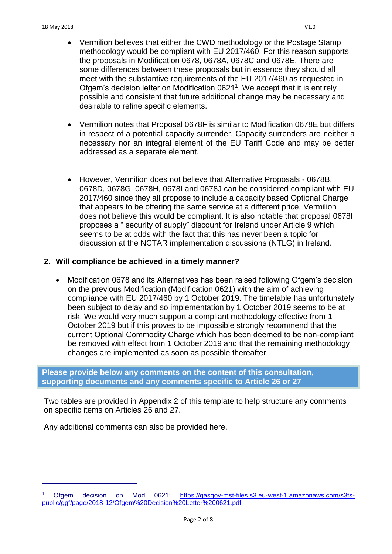- Vermilion believes that either the CWD methodology or the Postage Stamp methodology would be compliant with EU 2017/460. For this reason supports the proposals in Modification 0678, 0678A, 0678C and 0678E. There are some differences between these proposals but in essence they should all meet with the substantive requirements of the EU 2017/460 as requested in Ofgem's decision letter on Modification 0621<sup>1</sup>. We accept that it is entirely possible and consistent that future additional change may be necessary and desirable to refine specific elements.
- Vermilion notes that Proposal 0678F is similar to Modification 0678E but differs in respect of a potential capacity surrender. Capacity surrenders are neither a necessary nor an integral element of the EU Tariff Code and may be better addressed as a separate element.
- However, Vermilion does not believe that Alternative Proposals 0678B, 0678D, 0678G, 0678H, 0678I and 0678J can be considered compliant with EU 2017/460 since they all propose to include a capacity based Optional Charge that appears to be offering the same service at a different price. Vermilion does not believe this would be compliant. It is also notable that proposal 0678I proposes a " security of supply" discount for Ireland under Article 9 which seems to be at odds with the fact that this has never been a topic for discussion at the NCTAR implementation discussions (NTLG) in Ireland.

### **2. Will compliance be achieved in a timely manner?**

 Modification 0678 and its Alternatives has been raised following Ofgem's decision on the previous Modification (Modification 0621) with the aim of achieving compliance with EU 2017/460 by 1 October 2019. The timetable has unfortunately been subject to delay and so implementation by 1 October 2019 seems to be at risk. We would very much support a compliant methodology effective from 1 October 2019 but if this proves to be impossible strongly recommend that the current Optional Commodity Charge which has been deemed to be non-compliant be removed with effect from 1 October 2019 and that the remaining methodology changes are implemented as soon as possible thereafter.

**Please provide below any comments on the content of this consultation, supporting documents and any comments specific to Article 26 or 27**

Two tables are provided in Appendix 2 of this template to help structure any comments on specific items on Articles 26 and 27.

Any additional comments can also be provided here.

 $\overline{1}$ 

<sup>1</sup> Ofgem decision on Mod 0621: [https://gasgov-mst-files.s3.eu-west-1.amazonaws.com/s3fs](https://gasgov-mst-files.s3.eu-west-1.amazonaws.com/s3fs-public/ggf/page/2018-12/Ofgem%20Decision%20Letter%200621.pdf)[public/ggf/page/2018-12/Ofgem%20Decision%20Letter%200621.pdf](https://gasgov-mst-files.s3.eu-west-1.amazonaws.com/s3fs-public/ggf/page/2018-12/Ofgem%20Decision%20Letter%200621.pdf)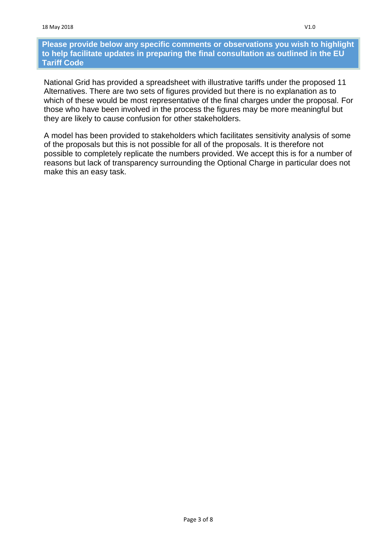#### **Please provide below any specific comments or observations you wish to highlight to help facilitate updates in preparing the final consultation as outlined in the EU Tariff Code**

National Grid has provided a spreadsheet with illustrative tariffs under the proposed 11 Alternatives. There are two sets of figures provided but there is no explanation as to which of these would be most representative of the final charges under the proposal. For those who have been involved in the process the figures may be more meaningful but they are likely to cause confusion for other stakeholders.

A model has been provided to stakeholders which facilitates sensitivity analysis of some of the proposals but this is not possible for all of the proposals. It is therefore not possible to completely replicate the numbers provided. We accept this is for a number of reasons but lack of transparency surrounding the Optional Charge in particular does not make this an easy task.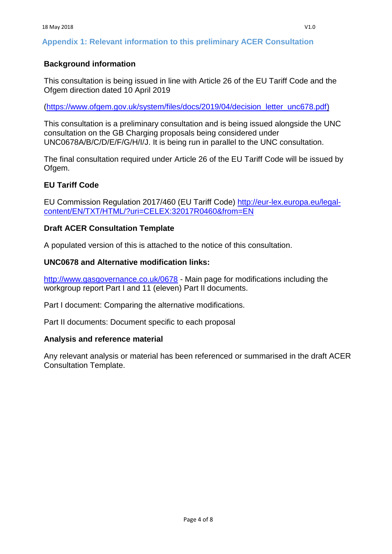## **Appendix 1: Relevant information to this preliminary ACER Consultation**

### **Background information**

This consultation is being issued in line with Article 26 of the EU Tariff Code and the Ofgem direction dated 10 April 2019

[\(https://www.ofgem.gov.uk/system/files/docs/2019/04/decision\\_letter\\_unc678.pdf\)](https://www.ofgem.gov.uk/system/files/docs/2019/04/decision_letter_unc678.pdf)

This consultation is a preliminary consultation and is being issued alongside the UNC consultation on the GB Charging proposals being considered under UNC0678A/B/C/D/E/F/G/H/I/J. It is being run in parallel to the UNC consultation.

The final consultation required under Article 26 of the EU Tariff Code will be issued by Ofgem.

### **EU Tariff Code**

EU Commission Regulation 2017/460 (EU Tariff Code) [http://eur-lex.europa.eu/legal](http://eur-lex.europa.eu/legal-content/EN/TXT/HTML/?uri=CELEX:32017R0460&from=EN)[content/EN/TXT/HTML/?uri=CELEX:32017R0460&from=EN](http://eur-lex.europa.eu/legal-content/EN/TXT/HTML/?uri=CELEX:32017R0460&from=EN)

#### **Draft ACER Consultation Template**

A populated version of this is attached to the notice of this consultation.

#### **UNC0678 and Alternative modification links:**

<http://www.gasgovernance.co.uk/0678> - Main page for modifications including the workgroup report Part I and 11 (eleven) Part II documents.

Part I document: Comparing the alternative modifications.

Part II documents: Document specific to each proposal

#### **Analysis and reference material**

Any relevant analysis or material has been referenced or summarised in the draft ACER Consultation Template.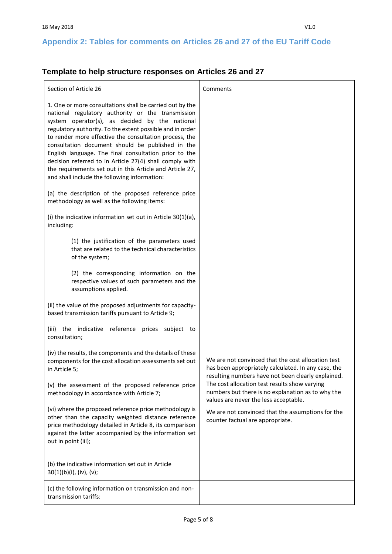# **Appendix 2: Tables for comments on Articles 26 and 27 of the EU Tariff Code**

# **Template to help structure responses on Articles 26 and 27**

| Section of Article 26                                                                                                                                                                                                                                                                                                                                                                                                                                                                                                                                                      | Comments                                                                                                                                                                                                                             |
|----------------------------------------------------------------------------------------------------------------------------------------------------------------------------------------------------------------------------------------------------------------------------------------------------------------------------------------------------------------------------------------------------------------------------------------------------------------------------------------------------------------------------------------------------------------------------|--------------------------------------------------------------------------------------------------------------------------------------------------------------------------------------------------------------------------------------|
| 1. One or more consultations shall be carried out by the<br>national regulatory authority or the transmission<br>system operator(s), as decided by the national<br>regulatory authority. To the extent possible and in order<br>to render more effective the consultation process, the<br>consultation document should be published in the<br>English language. The final consultation prior to the<br>decision referred to in Article 27(4) shall comply with<br>the requirements set out in this Article and Article 27,<br>and shall include the following information: |                                                                                                                                                                                                                                      |
| (a) the description of the proposed reference price<br>methodology as well as the following items:                                                                                                                                                                                                                                                                                                                                                                                                                                                                         |                                                                                                                                                                                                                                      |
| (i) the indicative information set out in Article $30(1)(a)$ ,<br>including:                                                                                                                                                                                                                                                                                                                                                                                                                                                                                               |                                                                                                                                                                                                                                      |
| (1) the justification of the parameters used<br>that are related to the technical characteristics<br>of the system;                                                                                                                                                                                                                                                                                                                                                                                                                                                        |                                                                                                                                                                                                                                      |
| (2) the corresponding information on the<br>respective values of such parameters and the<br>assumptions applied.                                                                                                                                                                                                                                                                                                                                                                                                                                                           |                                                                                                                                                                                                                                      |
| (ii) the value of the proposed adjustments for capacity-<br>based transmission tariffs pursuant to Article 9;                                                                                                                                                                                                                                                                                                                                                                                                                                                              |                                                                                                                                                                                                                                      |
| (iii) the indicative reference prices subject to<br>consultation;                                                                                                                                                                                                                                                                                                                                                                                                                                                                                                          |                                                                                                                                                                                                                                      |
| (iv) the results, the components and the details of these<br>components for the cost allocation assessments set out<br>in Article 5;                                                                                                                                                                                                                                                                                                                                                                                                                                       | We are not convinced that the cost allocation test<br>has been appropriately calculated. In any case, the<br>resulting numbers have not been clearly explained.                                                                      |
| (v) the assessment of the proposed reference price<br>methodology in accordance with Article 7;                                                                                                                                                                                                                                                                                                                                                                                                                                                                            | The cost allocation test results show varying<br>numbers but there is no explanation as to why the<br>values are never the less acceptable.<br>We are not convinced that the assumptions for the<br>counter factual are appropriate. |
| (vi) where the proposed reference price methodology is<br>other than the capacity weighted distance reference<br>price methodology detailed in Article 8, its comparison<br>against the latter accompanied by the information set<br>out in point (iii);                                                                                                                                                                                                                                                                                                                   |                                                                                                                                                                                                                                      |
| (b) the indicative information set out in Article<br>30(1)(b)(i), (iv), (v);                                                                                                                                                                                                                                                                                                                                                                                                                                                                                               |                                                                                                                                                                                                                                      |
| (c) the following information on transmission and non-<br>transmission tariffs:                                                                                                                                                                                                                                                                                                                                                                                                                                                                                            |                                                                                                                                                                                                                                      |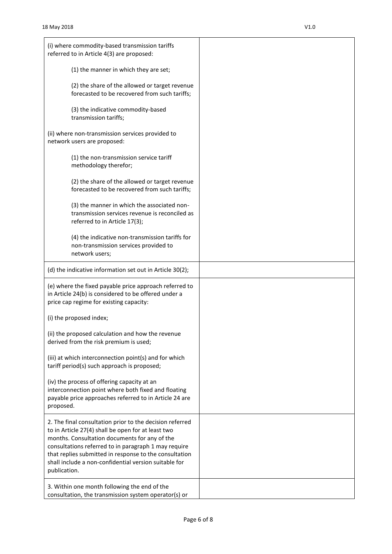| (i) where commodity-based transmission tariffs<br>referred to in Article 4(3) are proposed:                                                                                                                                                                                                                                                                |  |
|------------------------------------------------------------------------------------------------------------------------------------------------------------------------------------------------------------------------------------------------------------------------------------------------------------------------------------------------------------|--|
| (1) the manner in which they are set;                                                                                                                                                                                                                                                                                                                      |  |
| (2) the share of the allowed or target revenue<br>forecasted to be recovered from such tariffs;                                                                                                                                                                                                                                                            |  |
| (3) the indicative commodity-based<br>transmission tariffs;                                                                                                                                                                                                                                                                                                |  |
| (ii) where non-transmission services provided to<br>network users are proposed:                                                                                                                                                                                                                                                                            |  |
| (1) the non-transmission service tariff<br>methodology therefor;                                                                                                                                                                                                                                                                                           |  |
| (2) the share of the allowed or target revenue<br>forecasted to be recovered from such tariffs;                                                                                                                                                                                                                                                            |  |
| (3) the manner in which the associated non-<br>transmission services revenue is reconciled as<br>referred to in Article 17(3);                                                                                                                                                                                                                             |  |
| (4) the indicative non-transmission tariffs for<br>non-transmission services provided to<br>network users;                                                                                                                                                                                                                                                 |  |
| (d) the indicative information set out in Article 30(2);                                                                                                                                                                                                                                                                                                   |  |
| (e) where the fixed payable price approach referred to<br>in Article 24(b) is considered to be offered under a<br>price cap regime for existing capacity:                                                                                                                                                                                                  |  |
| (i) the proposed index;                                                                                                                                                                                                                                                                                                                                    |  |
| (ii) the proposed calculation and how the revenue<br>derived from the risk premium is used;                                                                                                                                                                                                                                                                |  |
| (iii) at which interconnection point(s) and for which<br>tariff period(s) such approach is proposed;                                                                                                                                                                                                                                                       |  |
| (iv) the process of offering capacity at an<br>interconnection point where both fixed and floating<br>payable price approaches referred to in Article 24 are<br>proposed.                                                                                                                                                                                  |  |
| 2. The final consultation prior to the decision referred<br>to in Article 27(4) shall be open for at least two<br>months. Consultation documents for any of the<br>consultations referred to in paragraph 1 may require<br>that replies submitted in response to the consultation<br>shall include a non-confidential version suitable for<br>publication. |  |
| 3. Within one month following the end of the<br>consultation, the transmission system operator(s) or                                                                                                                                                                                                                                                       |  |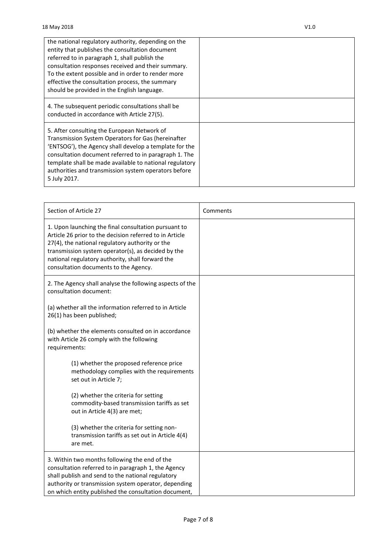| the national regulatory authority, depending on the<br>entity that publishes the consultation document<br>referred to in paragraph 1, shall publish the<br>consultation responses received and their summary.<br>To the extent possible and in order to render more<br>effective the consultation process, the summary<br>should be provided in the English language. |  |
|-----------------------------------------------------------------------------------------------------------------------------------------------------------------------------------------------------------------------------------------------------------------------------------------------------------------------------------------------------------------------|--|
| 4. The subsequent periodic consultations shall be<br>conducted in accordance with Article 27(5).                                                                                                                                                                                                                                                                      |  |
| 5. After consulting the European Network of<br>Transmission System Operators for Gas (hereinafter<br>'ENTSOG'), the Agency shall develop a template for the<br>consultation document referred to in paragraph 1. The<br>template shall be made available to national regulatory<br>authorities and transmission system operators before<br>5 July 2017.               |  |

| Section of Article 27                                                                                                                                                                                                                                                                                                 | Comments |
|-----------------------------------------------------------------------------------------------------------------------------------------------------------------------------------------------------------------------------------------------------------------------------------------------------------------------|----------|
| 1. Upon launching the final consultation pursuant to<br>Article 26 prior to the decision referred to in Article<br>27(4), the national regulatory authority or the<br>transmission system operator(s), as decided by the<br>national regulatory authority, shall forward the<br>consultation documents to the Agency. |          |
| 2. The Agency shall analyse the following aspects of the<br>consultation document:                                                                                                                                                                                                                                    |          |
| (a) whether all the information referred to in Article<br>26(1) has been published;                                                                                                                                                                                                                                   |          |
| (b) whether the elements consulted on in accordance<br>with Article 26 comply with the following<br>requirements:                                                                                                                                                                                                     |          |
| (1) whether the proposed reference price<br>methodology complies with the requirements<br>set out in Article 7;                                                                                                                                                                                                       |          |
| (2) whether the criteria for setting<br>commodity-based transmission tariffs as set<br>out in Article 4(3) are met;                                                                                                                                                                                                   |          |
| (3) whether the criteria for setting non-<br>transmission tariffs as set out in Article 4(4)<br>are met.                                                                                                                                                                                                              |          |
| 3. Within two months following the end of the<br>consultation referred to in paragraph 1, the Agency<br>shall publish and send to the national regulatory<br>authority or transmission system operator, depending<br>on which entity published the consultation document,                                             |          |